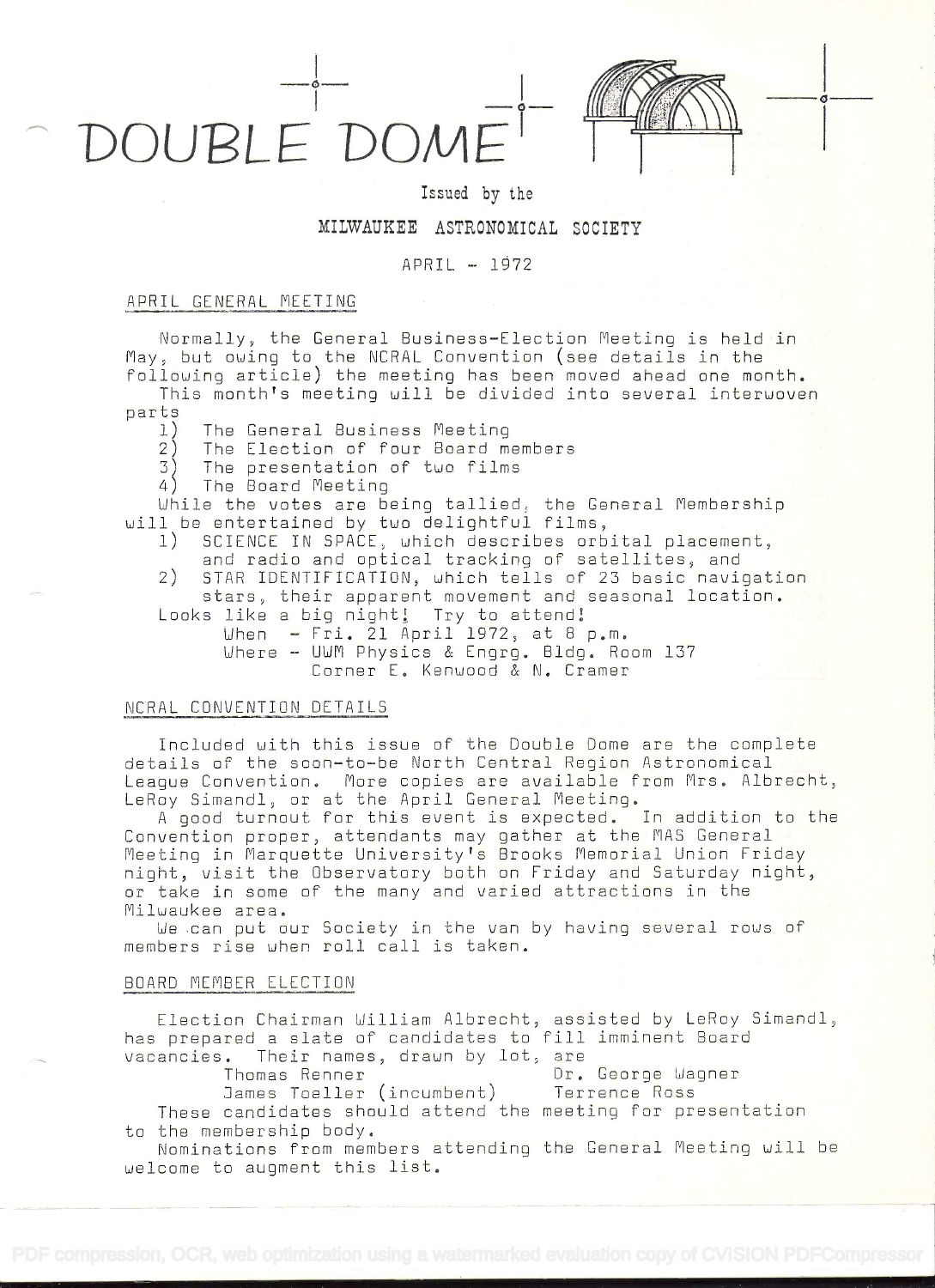



### Issued by the

# MILWAUKEE ASTRONOMICAL SOCIETY

# $APRIL - 1972$

## APRIL GENERAL MEETING

Normally, the General Business-Election Meeting is held in May, but owing to the NCRAL Convention (see details in the following article) the meeting has been moved ahead one month.

This month's meeting will be divided into several interuoven parts

- 1) The General Business Meeting
- 2) The Election of four Board members<br>3) The presentation of two films
- The presentation of two films<br>The Board Meeting
- 

4) The Board Meeting<br>While the votes are being tallied, the General Membership<br>will be entertained by two delightful films,

- 1) SEIENCE IN SPACE, which describes orbital placement, and radio and optical tracking of satellites, and
- 2) STAR IDENTIFICATION, which tells of 23 basic navigation<br>stars, their apparent movement and seasonal location.
- Looks like a big night! Try to attend!
	- When Fri. 21  $\bar{A}$ pril 1972, at 8 p.m. Where - UWM Physics & Engrg. Bldg. Room 137 Corner E. Kenwood & N. Cramer

# NCRAL CONVENTION DETAILS

Included with this issue of the Double Dome are the complete details of the soon-to-be North Central Region Astronomical League Convention, More copies are available from Mrs. Rlbrecht, LeRoy Simandl, or at the April General Meeting.

good turnout for this event is expected, In addition to the Convention proper, attendants may gather at the MAS General Meeting in Marquette University's Brooks Memorial Union Friday<br>night, visit the Observatory both on Friday and Saturday night, or take in some of the many and varied attractions in the Milwaukee area.

We can put our Society in the van by having several rows of members rise when roll call is taken.

### BOARD MEMBER ELECTION

Election Chairman William Albrecht, assisted by LeRoy Simandl, as prepared a slate of candidates to fill imminent Board vacancies. Their names, drawn by lot, are

Dr. George Wagner

James Toeller (incumbent) Terrence Ross These candidates should attend the meeting for presentation to the membership body.

Nominations from members attending the General Meeting will be welcome to augment this list.